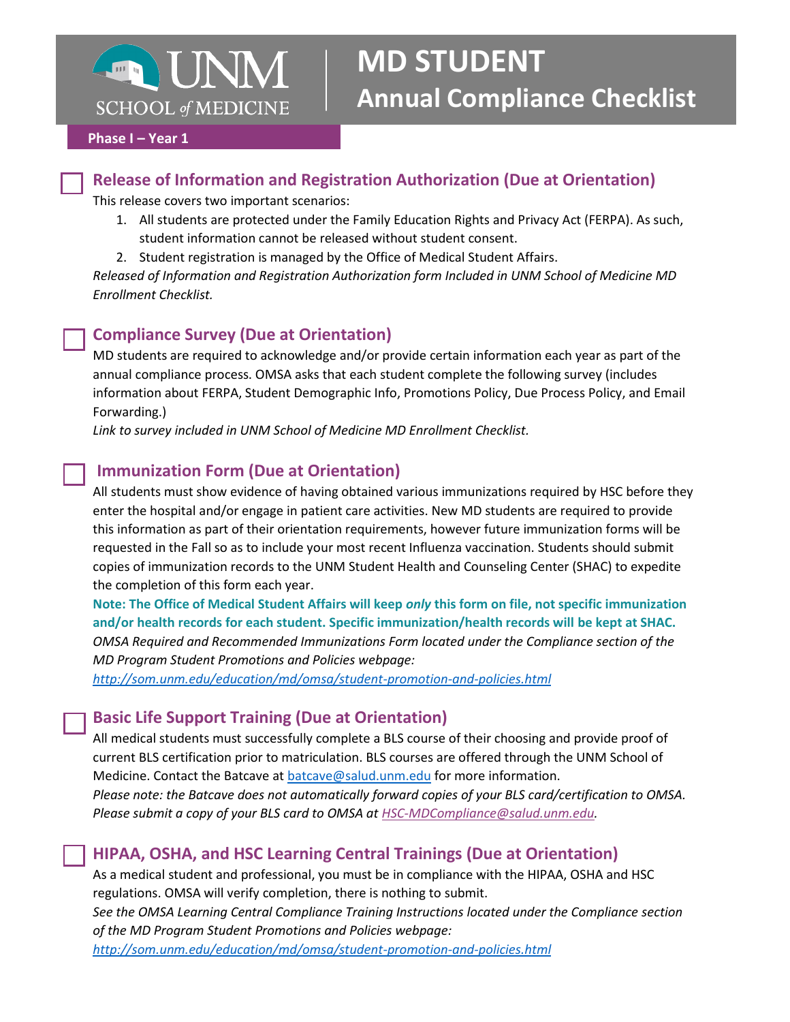

# **MD STUDENT Annual Compliance Checklist**

#### **Phase I – Year 1**

## **Release of Information and Registration Authorization (Due at Orientation)**

This release covers two important scenarios:

- 1. All students are protected under the Family Education Rights and Privacy Act (FERPA). As such, student information cannot be released without student consent.
- 2. Student registration is managed by the Office of Medical Student Affairs.

*Released of Information and Registration Authorization form Included in UNM School of Medicine MD Enrollment Checklist.* 

## **Compliance Survey (Due at Orientation)**

MD students are required to acknowledge and/or provide certain information each year as part of the annual compliance process. OMSA asks that each student complete the following survey (includes information about FERPA, Student Demographic Info, Promotions Policy, Due Process Policy, and Email Forwarding.)

*Link to survey included in UNM School of Medicine MD Enrollment Checklist.* 

# **Immunization Form (Due at Orientation)**

All students must show evidence of having obtained various immunizations required by HSC before they enter the hospital and/or engage in patient care activities. New MD students are required to provide this information as part of their orientation requirements, however future immunization forms will be requested in the Fall so as to include your most recent Influenza vaccination. Students should submit copies of immunization records to the UNM Student Health and Counseling Center (SHAC) to expedite the completion of this form each year.

**Note: The Office of Medical Student Affairs will keep** *only* **this form on file, not specific immunization and/or health records for each student. Specific immunization/health records will be kept at SHAC.**  *OMSA Required and Recommended Immunizations Form located under the Compliance section of the MD Program Student Promotions and Policies webpage:* 

*<http://som.unm.edu/education/md/omsa/student-promotion-and-policies.html>*

## **Basic Life Support Training (Due at Orientation)**

All medical students must successfully complete a BLS course of their choosing and provide proof of current BLS certification prior to matriculation. BLS courses are offered through the UNM School of Medicine. Contact the Batcave a[t batcave@salud.unm.edu](mailto:batcave@salud.unm.edu) for more information. *Please note: the Batcave does not automatically forward copies of your BLS card/certification to OMSA. Please submit a copy of your BLS card to OMSA at [HSC-MDCompliance@salud.unm.edu.](mailto:HSC-MDCompliance@salud.unm.edu)*

## **HIPAA, OSHA, and HSC Learning Central Trainings (Due at Orientation)**

As a medical student and professional, you must be in compliance with the HIPAA, OSHA and HSC regulations. OMSA will verify completion, there is nothing to submit.

*See the OMSA Learning Central Compliance Training Instructions located under the Compliance section of the MD Program Student Promotions and Policies webpage:* 

*<http://som.unm.edu/education/md/omsa/student-promotion-and-policies.html>*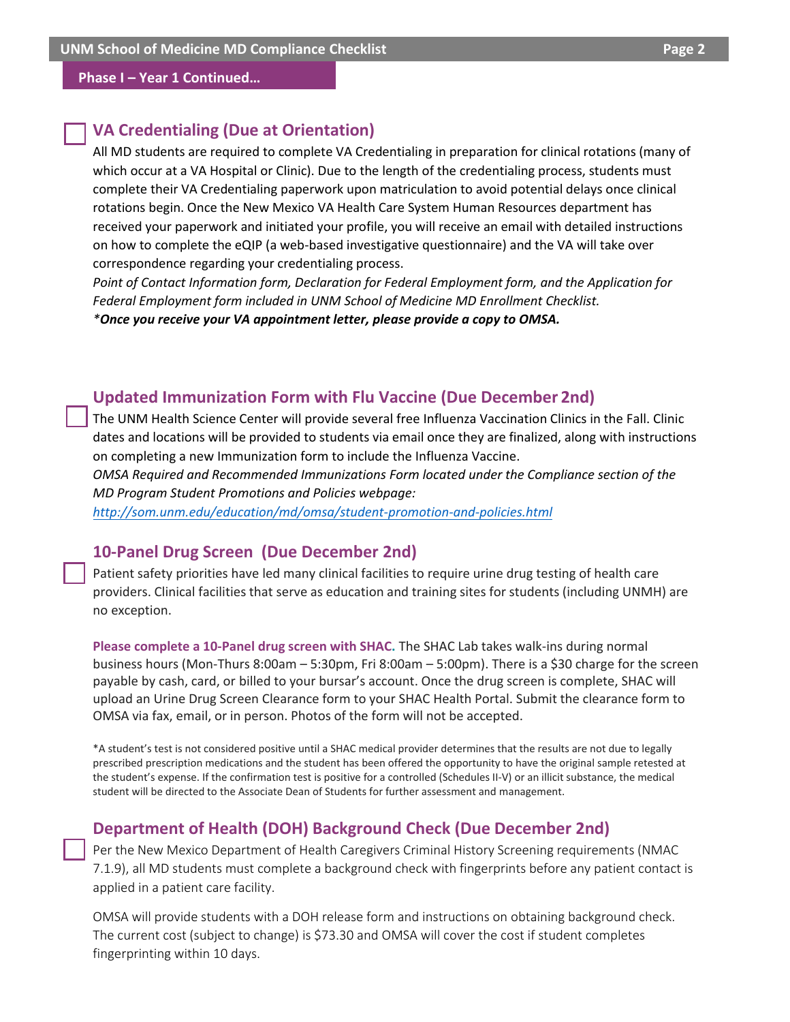#### **Phase I – Year 1 Continued…**

#### **VA Credentialing (Due at Orientation)**

All MD students are required to complete VA Credentialing in preparation for clinical rotations (many of which occur at a VA Hospital or Clinic). Due to the length of the credentialing process, students must complete their VA Credentialing paperwork upon matriculation to avoid potential delays once clinical rotations begin. Once the New Mexico VA Health Care System Human Resources department has received your paperwork and initiated your profile, you will receive an email with detailed instructions on how to complete the eQIP (a web-based investigative questionnaire) and the VA will take over correspondence regarding your credentialing process.

*Point of Contact Information form, Declaration for Federal Employment form, and the Application for Federal Employment form included in UNM School of Medicine MD Enrollment Checklist. \*Once you receive your VA appointment letter, please provide a copy to OMSA.*

#### **Updated Immunization Form with Flu Vaccine (Due December 2nd)**

The UNM Health Science Center will provide several free Influenza Vaccination Clinics in the Fall. Clinic dates and locations will be provided to students via email once they are finalized, along with instructions on completing a new Immunization form to include the Influenza Vaccine.

*OMSA Required and Recommended Immunizations Form located under the Compliance section of the MD Program Student Promotions and Policies webpage:* 

*http://som.unm.edu/education/md/omsa/student-promotion-and-policies.html* 

#### **10-Panel Drug Screen (Due December 2nd)**

Patient safety priorities have led many clinical facilities to require urine drug testing of health care providers. Clinical facilities that serve as education and training sites for students (including UNMH) are no exception.

**Please complete a 10-Panel drug screen with SHAC.** The SHAC Lab takes walk-ins during normal business hours (Mon-Thurs 8:00am – 5:30pm, Fri 8:00am – 5:00pm). There is a \$30 charge for the screen payable by cash, card, or billed to your bursar's account. Once the drug screen is complete, SHAC will upload an Urine Drug Screen Clearance form to your SHAC Health Portal. Submit the clearance form to OMSA via fax, email, or in person. Photos of the form will not be accepted.

\*A student's test is not considered positive until a SHAC medical provider determines that the results are not due to legally prescribed prescription medications and the student has been offered the opportunity to have the original sample retested at the student's expense. If the confirmation test is positive for a controlled (Schedules II-V) or an illicit substance, the medical student will be directed to the Associate Dean of Students for further assessment and management.

#### **Department of Health (DOH) Background Check (Due December 2nd)**

Per the New Mexico Department of Health Caregivers Criminal History Screening requirements (NMAC 7.1.9), all MD students must complete a background check with fingerprints before any patient contact is applied in a patient care facility.

OMSA will provide students with a DOH release form and instructions on obtaining background check. The current cost (subject to change) is \$73.30 and OMSA will cover the cost if student completes fingerprinting within 10 days.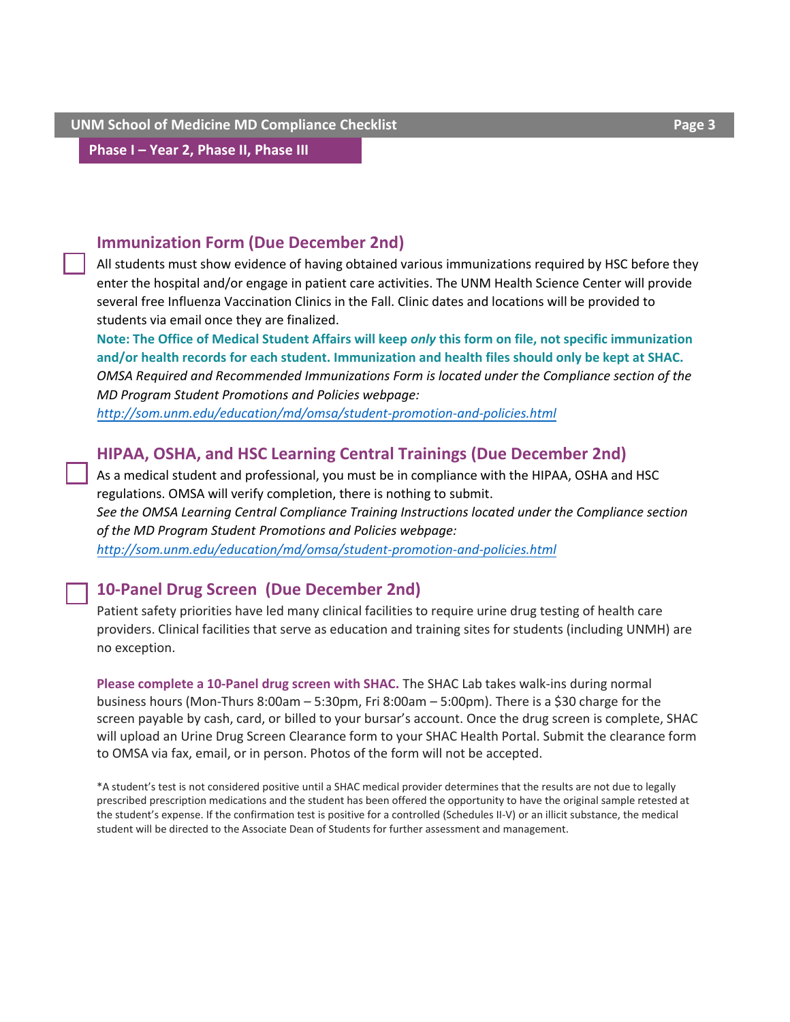**Phase I – Year 2, Phase II, Phase III** 

## **Immunization Form (Due December 2nd)**

All students must show evidence of having obtained various immunizations required by HSC before they enter the hospital and/or engage in patient care activities. The UNM Health Science Center will provide several free Influenza Vaccination Clinics in the Fall. Clinic dates and locations will be provided to students via email once they are finalized.

**Note: The Office of Medical Student Affairs will keep** *only* **this form on file, not specific immunization and/or health records for each student. Immunization and health files should only be kept at SHAC.**  *OMSA Required and Recommended Immunizations Form is located under the Compliance section of the MD Program Student Promotions and Policies webpage:* 

*http://som.unm.edu/education/md/omsa/student-promotion-and-policies.html* 

## **HIPAA, OSHA, and HSC Learning Central Trainings (Due December 2nd)**

As a medical student and professional, you must be in compliance with the HIPAA, OSHA and HSC regulations. OMSA will verify completion, there is nothing to submit. *See the OMSA Learning Central Compliance Training Instructions located under the Compliance section of the MD Program Student Promotions and Policies webpage: <http://som.unm.edu/education/md/omsa/student-promotion-and-policies.html>* 

## **10-Panel Drug Screen (Due December 2nd)**

Patient safety priorities have led many clinical facilities to require urine drug testing of health care providers. Clinical facilities that serve as education and training sites for students (including UNMH) are no exception.

**[Please complete a 10-Panel drug screen with SHAC.](http://som.unm.edu/education/md/omsa/student-promotion-and-policies.html)** The SHAC Lab takes walk-ins during normal business hours (Mon-Thurs 8:00am – 5:30pm, Fri 8:00am – 5:00pm). There is a \$30 charge for the screen payable by cash, card, or billed to your bursar's account. Once the drug screen is complete, SHAC will upload an Urine Drug Screen Clearance form to your SHAC Health Portal. Submit the clearance form to OMSA via fax, email, or in person. Photos of the form will not be accepted.

\*A student's test is not considered positive until a SHAC medical provider determines that the results are not due to legally prescribed prescription medications and the student has been offered the opportunity to have the original sample retested at the student's expense. If the confirmation test is positive for a controlled (Schedules II-V) or an illicit substance, the medical student will be directed to the Associate Dean of Students for further assessment and management.